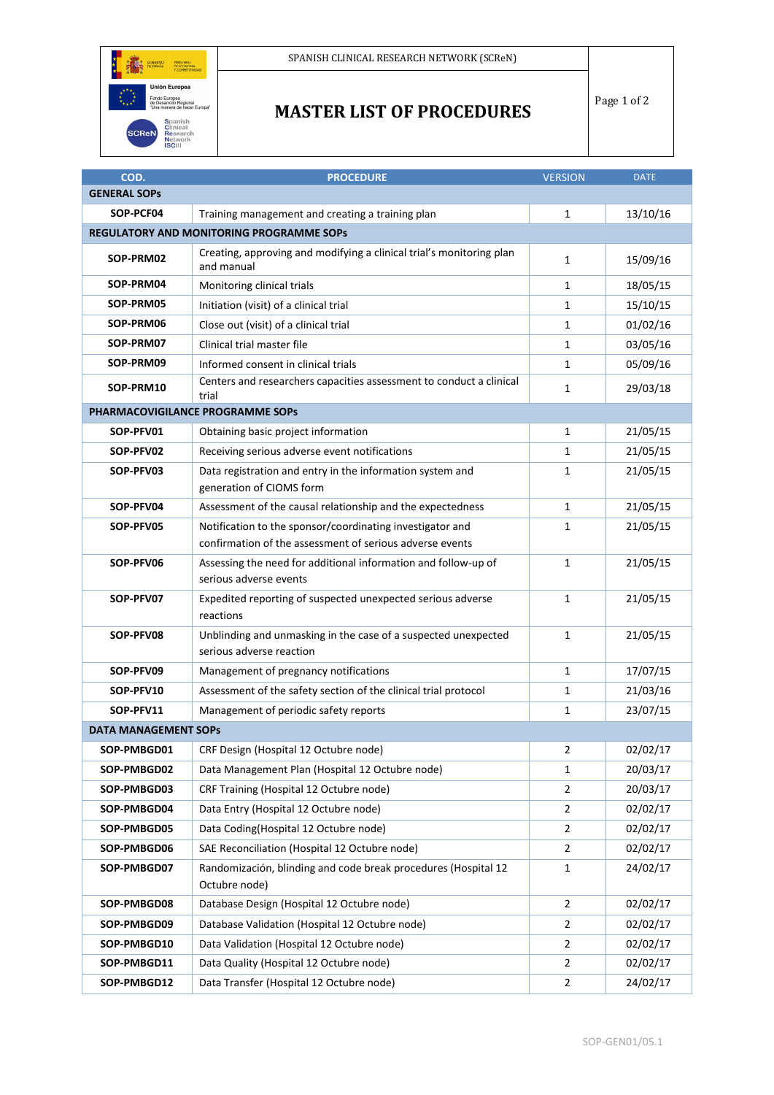

## **MASTER LIST OF PROCEDURES**

Page 1 of 2

| COD.                                            | <b>PROCEDURE</b>                                                                                                      | <b>VERSION</b> | <b>DATE</b> |  |  |
|-------------------------------------------------|-----------------------------------------------------------------------------------------------------------------------|----------------|-------------|--|--|
| <b>GENERAL SOPS</b>                             |                                                                                                                       |                |             |  |  |
| SOP-PCF04                                       | Training management and creating a training plan                                                                      | $\mathbf{1}$   | 13/10/16    |  |  |
| <b>REGULATORY AND MONITORING PROGRAMME SOPS</b> |                                                                                                                       |                |             |  |  |
| SOP-PRM02                                       | Creating, approving and modifying a clinical trial's monitoring plan<br>and manual                                    | $\mathbf{1}$   | 15/09/16    |  |  |
| SOP-PRM04                                       | Monitoring clinical trials                                                                                            | $\mathbf{1}$   | 18/05/15    |  |  |
| SOP-PRM05                                       | Initiation (visit) of a clinical trial                                                                                | 1              | 15/10/15    |  |  |
| SOP-PRM06                                       | Close out (visit) of a clinical trial                                                                                 | $\mathbf{1}$   | 01/02/16    |  |  |
| SOP-PRM07                                       | Clinical trial master file                                                                                            | 1              | 03/05/16    |  |  |
| SOP-PRM09                                       | Informed consent in clinical trials                                                                                   | 1              | 05/09/16    |  |  |
| SOP-PRM10                                       | Centers and researchers capacities assessment to conduct a clinical<br>trial                                          | 1              | 29/03/18    |  |  |
| PHARMACOVIGILANCE PROGRAMME SOPS                |                                                                                                                       |                |             |  |  |
| SOP-PFV01                                       | Obtaining basic project information                                                                                   | 1              | 21/05/15    |  |  |
| SOP-PFV02                                       | Receiving serious adverse event notifications                                                                         | $\mathbf{1}$   | 21/05/15    |  |  |
| SOP-PFV03                                       | Data registration and entry in the information system and<br>generation of CIOMS form                                 | $\mathbf{1}$   | 21/05/15    |  |  |
| SOP-PFV04                                       | Assessment of the causal relationship and the expectedness                                                            | $\mathbf{1}$   | 21/05/15    |  |  |
| SOP-PFV05                                       | Notification to the sponsor/coordinating investigator and<br>confirmation of the assessment of serious adverse events | 1              | 21/05/15    |  |  |
| SOP-PFV06                                       | Assessing the need for additional information and follow-up of<br>serious adverse events                              | 1              | 21/05/15    |  |  |
| SOP-PFV07                                       | Expedited reporting of suspected unexpected serious adverse<br>reactions                                              | $\mathbf{1}$   | 21/05/15    |  |  |
| SOP-PFV08                                       | Unblinding and unmasking in the case of a suspected unexpected<br>serious adverse reaction                            | $\mathbf{1}$   | 21/05/15    |  |  |
| SOP-PFV09                                       | Management of pregnancy notifications                                                                                 | $\mathbf{1}$   | 17/07/15    |  |  |
| SOP-PFV10                                       | Assessment of the safety section of the clinical trial protocol                                                       | 1              | 21/03/16    |  |  |
| SOP-PFV11                                       | Management of periodic safety reports                                                                                 | 1              | 23/07/15    |  |  |
| <b>DATA MANAGEMENT SOPS</b>                     |                                                                                                                       |                |             |  |  |
| SOP-PMBGD01                                     | CRF Design (Hospital 12 Octubre node)                                                                                 | 2              | 02/02/17    |  |  |
| SOP-PMBGD02                                     | Data Management Plan (Hospital 12 Octubre node)                                                                       | 1              | 20/03/17    |  |  |
| SOP-PMBGD03                                     | CRF Training (Hospital 12 Octubre node)                                                                               | $\overline{2}$ | 20/03/17    |  |  |
| SOP-PMBGD04                                     | Data Entry (Hospital 12 Octubre node)                                                                                 | $\overline{2}$ | 02/02/17    |  |  |
| SOP-PMBGD05                                     | Data Coding(Hospital 12 Octubre node)                                                                                 | $\overline{2}$ | 02/02/17    |  |  |
| SOP-PMBGD06                                     | SAE Reconciliation (Hospital 12 Octubre node)                                                                         | $\overline{2}$ | 02/02/17    |  |  |
| SOP-PMBGD07                                     | Randomización, blinding and code break procedures (Hospital 12<br>Octubre node)                                       | $\mathbf{1}$   | 24/02/17    |  |  |
| SOP-PMBGD08                                     | Database Design (Hospital 12 Octubre node)                                                                            | $\overline{2}$ | 02/02/17    |  |  |
| SOP-PMBGD09                                     | Database Validation (Hospital 12 Octubre node)                                                                        | $\overline{2}$ | 02/02/17    |  |  |
| SOP-PMBGD10                                     | Data Validation (Hospital 12 Octubre node)                                                                            | $\overline{2}$ | 02/02/17    |  |  |
| SOP-PMBGD11                                     | Data Quality (Hospital 12 Octubre node)                                                                               | $\overline{2}$ | 02/02/17    |  |  |
| SOP-PMBGD12                                     | Data Transfer (Hospital 12 Octubre node)                                                                              | $\overline{2}$ | 24/02/17    |  |  |